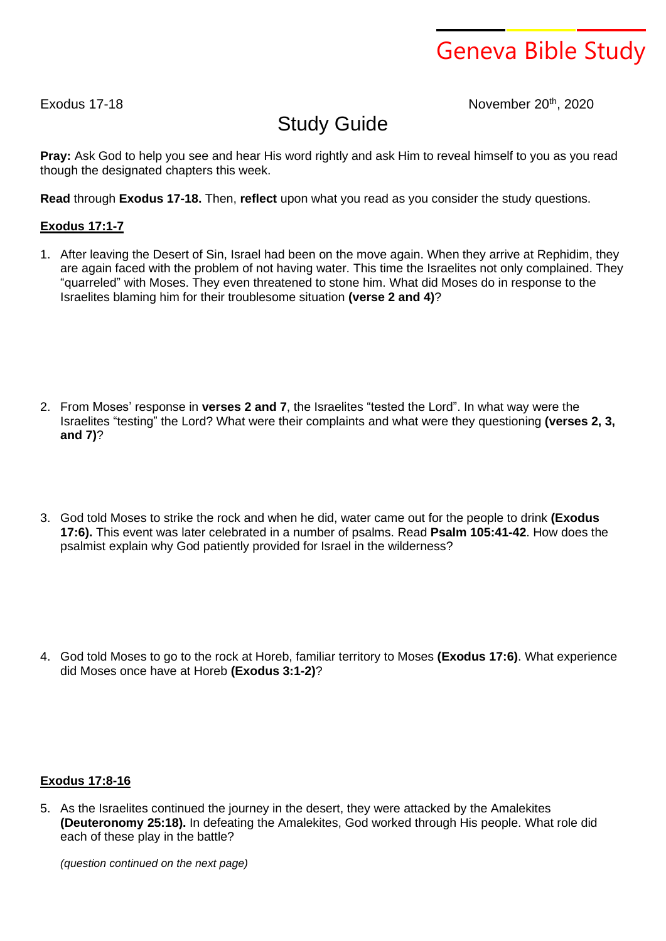# Geneva Bible Study

Exodus 17-18 **November 20th**, 2020

## Study Guide

**Pray:** Ask God to help you see and hear His word rightly and ask Him to reveal himself to you as you read though the designated chapters this week.

**Read** through **Exodus 17-18.** Then, **reflect** upon what you read as you consider the study questions.

### **Exodus 17:1-7**

1. After leaving the Desert of Sin, Israel had been on the move again. When they arrive at Rephidim, they are again faced with the problem of not having water. This time the Israelites not only complained. They "quarreled" with Moses. They even threatened to stone him. What did Moses do in response to the Israelites blaming him for their troublesome situation **(verse 2 and 4)**?

- 2. From Moses' response in **verses 2 and 7**, the Israelites "tested the Lord". In what way were the Israelites "testing" the Lord? What were their complaints and what were they questioning **(verses 2, 3, and 7)**?
- 3. God told Moses to strike the rock and when he did, water came out for the people to drink **(Exodus 17:6).** This event was later celebrated in a number of psalms. Read **Psalm 105:41-42**. How does the psalmist explain why God patiently provided for Israel in the wilderness?

4. God told Moses to go to the rock at Horeb, familiar territory to Moses **(Exodus 17:6)**. What experience did Moses once have at Horeb **(Exodus 3:1-2)**?

### **Exodus 17:8-16**

5. As the Israelites continued the journey in the desert, they were attacked by the Amalekites **(Deuteronomy 25:18).** In defeating the Amalekites, God worked through His people. What role did each of these play in the battle?

*(question continued on the next page)*